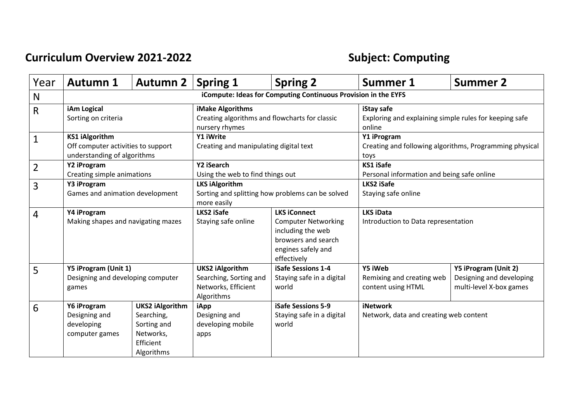## **Curriculum Overview 2021-2022 Subject: Computing**

| Year | <b>Autumn 1</b>                                                                            | Autumn 2                                                                                    | <b>Spring 1</b>                                                                          | <b>Spring 2</b>                                                                                                                    | <b>Summer 1</b>                                                                | <b>Summer 2</b>                                                             |
|------|--------------------------------------------------------------------------------------------|---------------------------------------------------------------------------------------------|------------------------------------------------------------------------------------------|------------------------------------------------------------------------------------------------------------------------------------|--------------------------------------------------------------------------------|-----------------------------------------------------------------------------|
| N    | iCompute: Ideas for Computing Continuous Provision in the EYFS                             |                                                                                             |                                                                                          |                                                                                                                                    |                                                                                |                                                                             |
| R    | iAm Logical<br>Sorting on criteria                                                         |                                                                                             | iMake Algorithms<br>Creating algorithms and flowcharts for classic<br>nursery rhymes     |                                                                                                                                    | iStay safe<br>Exploring and explaining simple rules for keeping safe<br>online |                                                                             |
| 1    | <b>KS1 iAlgorithm</b><br>Off computer activities to support<br>understanding of algorithms |                                                                                             | Y1 iWrite<br>Creating and manipulating digital text                                      |                                                                                                                                    | Y1 iProgram<br>Creating and following algorithms, Programming physical<br>toys |                                                                             |
| 2    | Y2 iProgram<br>Creating simple animations                                                  |                                                                                             | Y2 iSearch<br>Using the web to find things out                                           |                                                                                                                                    | <b>KS1 iSafe</b><br>Personal information and being safe online                 |                                                                             |
| 3    | Y3 iProgram<br>Games and animation development                                             |                                                                                             | <b>LKS iAlgorithm</b><br>Sorting and splitting how problems can be solved<br>more easily |                                                                                                                                    | LKS2 iSafe<br>Staying safe online                                              |                                                                             |
| 4    | Y4 iProgram<br>Making shapes and navigating mazes                                          |                                                                                             | LKS2 iSafe<br>Staying safe online                                                        | <b>LKS iConnect</b><br><b>Computer Networking</b><br>including the web<br>browsers and search<br>engines safely and<br>effectively | <b>LKS iData</b><br>Introduction to Data representation                        |                                                                             |
| 5    | Y5 iProgram (Unit 1)<br>Designing and developing computer<br>games                         |                                                                                             | <b>UKS2 iAlgorithm</b><br>Searching, Sorting and<br>Networks, Efficient<br>Algorithms    | <b>iSafe Sessions 1-4</b><br>Staying safe in a digital<br>world                                                                    | Y5 iWeb<br>Remixing and creating web<br>content using HTML                     | Y5 iProgram (Unit 2)<br>Designing and developing<br>multi-level X-box games |
| 6    | Y6 iProgram<br>Designing and<br>developing<br>computer games                               | <b>UKS2 iAlgorithm</b><br>Searching,<br>Sorting and<br>Networks,<br>Efficient<br>Algorithms | iApp<br>Designing and<br>developing mobile<br>apps                                       | iSafe Sessions 5-9<br>Staying safe in a digital<br>world                                                                           | <b>iNetwork</b><br>Network, data and creating web content                      |                                                                             |